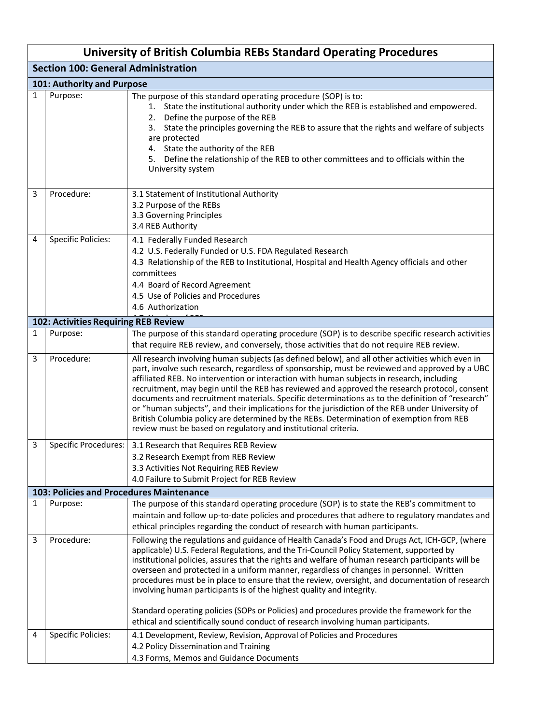|              | <b>University of British Columbia REBs Standard Operating Procedures</b> |                                                                                                                                                                                                                                                                                                                                                                                                                                                                                                                                                                                                                                                                                                                                                                     |  |  |
|--------------|--------------------------------------------------------------------------|---------------------------------------------------------------------------------------------------------------------------------------------------------------------------------------------------------------------------------------------------------------------------------------------------------------------------------------------------------------------------------------------------------------------------------------------------------------------------------------------------------------------------------------------------------------------------------------------------------------------------------------------------------------------------------------------------------------------------------------------------------------------|--|--|
|              | <b>Section 100: General Administration</b>                               |                                                                                                                                                                                                                                                                                                                                                                                                                                                                                                                                                                                                                                                                                                                                                                     |  |  |
|              | 101: Authority and Purpose                                               |                                                                                                                                                                                                                                                                                                                                                                                                                                                                                                                                                                                                                                                                                                                                                                     |  |  |
| 1            | Purpose:                                                                 | The purpose of this standard operating procedure (SOP) is to:<br>1. State the institutional authority under which the REB is established and empowered.<br>2. Define the purpose of the REB<br>State the principles governing the REB to assure that the rights and welfare of subjects<br>3.<br>are protected<br>4. State the authority of the REB<br>5. Define the relationship of the REB to other committees and to officials within the<br>University system                                                                                                                                                                                                                                                                                                   |  |  |
| 3            | Procedure:                                                               | 3.1 Statement of Institutional Authority<br>3.2 Purpose of the REBs<br>3.3 Governing Principles<br>3.4 REB Authority                                                                                                                                                                                                                                                                                                                                                                                                                                                                                                                                                                                                                                                |  |  |
| 4            | <b>Specific Policies:</b>                                                | 4.1 Federally Funded Research<br>4.2 U.S. Federally Funded or U.S. FDA Regulated Research<br>4.3 Relationship of the REB to Institutional, Hospital and Health Agency officials and other<br>committees<br>4.4 Board of Record Agreement<br>4.5 Use of Policies and Procedures<br>4.6 Authorization                                                                                                                                                                                                                                                                                                                                                                                                                                                                 |  |  |
|              | 102: Activities Requiring REB Review                                     |                                                                                                                                                                                                                                                                                                                                                                                                                                                                                                                                                                                                                                                                                                                                                                     |  |  |
| $\mathbf{1}$ | Purpose:                                                                 | The purpose of this standard operating procedure (SOP) is to describe specific research activities<br>that require REB review, and conversely, those activities that do not require REB review.                                                                                                                                                                                                                                                                                                                                                                                                                                                                                                                                                                     |  |  |
| 3            | Procedure:                                                               | All research involving human subjects (as defined below), and all other activities which even in<br>part, involve such research, regardless of sponsorship, must be reviewed and approved by a UBC<br>affiliated REB. No intervention or interaction with human subjects in research, including<br>recruitment, may begin until the REB has reviewed and approved the research protocol, consent<br>documents and recruitment materials. Specific determinations as to the definition of "research"<br>or "human subjects", and their implications for the jurisdiction of the REB under University of<br>British Columbia policy are determined by the REBs. Determination of exemption from REB<br>review must be based on regulatory and institutional criteria. |  |  |
| 3            | Specific Procedures:                                                     | 3.1 Research that Requires REB Review                                                                                                                                                                                                                                                                                                                                                                                                                                                                                                                                                                                                                                                                                                                               |  |  |
|              |                                                                          | 3.2 Research Exempt from REB Review                                                                                                                                                                                                                                                                                                                                                                                                                                                                                                                                                                                                                                                                                                                                 |  |  |
|              |                                                                          | 3.3 Activities Not Requiring REB Review                                                                                                                                                                                                                                                                                                                                                                                                                                                                                                                                                                                                                                                                                                                             |  |  |
|              |                                                                          | 4.0 Failure to Submit Project for REB Review                                                                                                                                                                                                                                                                                                                                                                                                                                                                                                                                                                                                                                                                                                                        |  |  |
| 1            | Purpose:                                                                 | 103: Policies and Procedures Maintenance<br>The purpose of this standard operating procedure (SOP) is to state the REB's commitment to                                                                                                                                                                                                                                                                                                                                                                                                                                                                                                                                                                                                                              |  |  |
|              |                                                                          | maintain and follow up-to-date policies and procedures that adhere to regulatory mandates and<br>ethical principles regarding the conduct of research with human participants.                                                                                                                                                                                                                                                                                                                                                                                                                                                                                                                                                                                      |  |  |
| 3            | Procedure:                                                               | Following the regulations and guidance of Health Canada's Food and Drugs Act, ICH-GCP, (where<br>applicable) U.S. Federal Regulations, and the Tri-Council Policy Statement, supported by<br>institutional policies, assures that the rights and welfare of human research participants will be<br>overseen and protected in a uniform manner, regardless of changes in personnel. Written<br>procedures must be in place to ensure that the review, oversight, and documentation of research<br>involving human participants is of the highest quality and integrity.<br>Standard operating policies (SOPs or Policies) and procedures provide the framework for the<br>ethical and scientifically sound conduct of research involving human participants.         |  |  |
| 4            | <b>Specific Policies:</b>                                                | 4.1 Development, Review, Revision, Approval of Policies and Procedures<br>4.2 Policy Dissemination and Training<br>4.3 Forms, Memos and Guidance Documents                                                                                                                                                                                                                                                                                                                                                                                                                                                                                                                                                                                                          |  |  |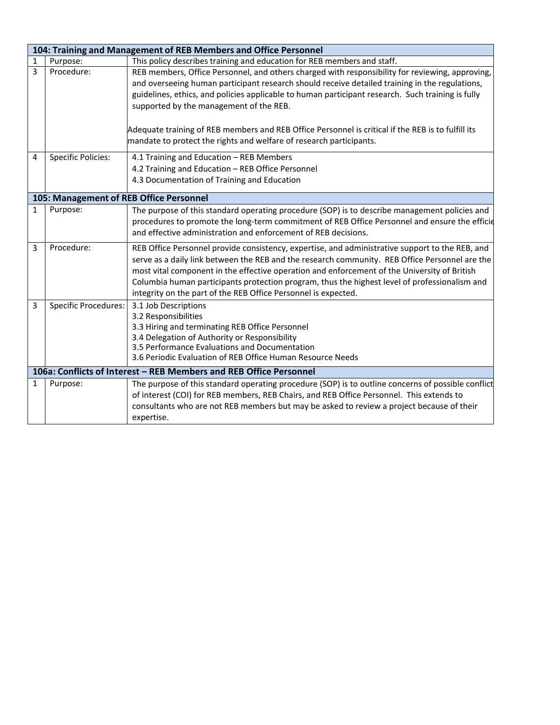|   | 104: Training and Management of REB Members and Office Personnel |                                                                                                                                                                                                                                                                                                                                                                                                                                                                                                                                |  |
|---|------------------------------------------------------------------|--------------------------------------------------------------------------------------------------------------------------------------------------------------------------------------------------------------------------------------------------------------------------------------------------------------------------------------------------------------------------------------------------------------------------------------------------------------------------------------------------------------------------------|--|
| 1 | Purpose:                                                         | This policy describes training and education for REB members and staff.                                                                                                                                                                                                                                                                                                                                                                                                                                                        |  |
| 3 | Procedure:                                                       | REB members, Office Personnel, and others charged with responsibility for reviewing, approving,<br>and overseeing human participant research should receive detailed training in the regulations,<br>guidelines, ethics, and policies applicable to human participant research. Such training is fully<br>supported by the management of the REB.<br>Adequate training of REB members and REB Office Personnel is critical if the REB is to fulfill its<br>mandate to protect the rights and welfare of research participants. |  |
| 4 | <b>Specific Policies:</b>                                        | 4.1 Training and Education - REB Members<br>4.2 Training and Education - REB Office Personnel<br>4.3 Documentation of Training and Education                                                                                                                                                                                                                                                                                                                                                                                   |  |
|   | 105: Management of REB Office Personnel                          |                                                                                                                                                                                                                                                                                                                                                                                                                                                                                                                                |  |
| 1 | Purpose:                                                         | The purpose of this standard operating procedure (SOP) is to describe management policies and<br>procedures to promote the long-term commitment of REB Office Personnel and ensure the efficie<br>and effective administration and enforcement of REB decisions.                                                                                                                                                                                                                                                               |  |
| 3 | Procedure:                                                       | REB Office Personnel provide consistency, expertise, and administrative support to the REB, and<br>serve as a daily link between the REB and the research community. REB Office Personnel are the<br>most vital component in the effective operation and enforcement of the University of British<br>Columbia human participants protection program, thus the highest level of professionalism and<br>integrity on the part of the REB Office Personnel is expected.                                                           |  |
| 3 | <b>Specific Procedures:</b>                                      | 3.1 Job Descriptions<br>3.2 Responsibilities<br>3.3 Hiring and terminating REB Office Personnel<br>3.4 Delegation of Authority or Responsibility<br>3.5 Performance Evaluations and Documentation<br>3.6 Periodic Evaluation of REB Office Human Resource Needs                                                                                                                                                                                                                                                                |  |
|   |                                                                  | 106a: Conflicts of Interest - REB Members and REB Office Personnel                                                                                                                                                                                                                                                                                                                                                                                                                                                             |  |
| 1 | Purpose:                                                         | The purpose of this standard operating procedure (SOP) is to outline concerns of possible conflict<br>of interest (COI) for REB members, REB Chairs, and REB Office Personnel. This extends to<br>consultants who are not REB members but may be asked to review a project because of their<br>expertise.                                                                                                                                                                                                                      |  |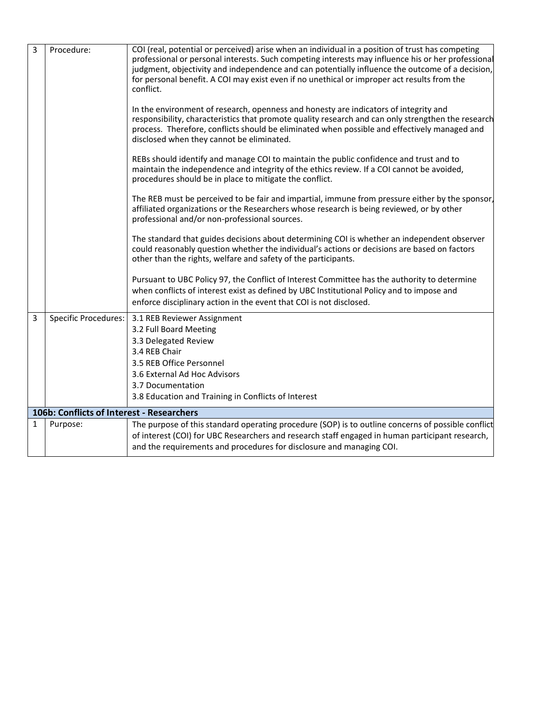| 3 | Procedure:                                | COI (real, potential or perceived) arise when an individual in a position of trust has competing                                                                                                                                                                                                                                        |
|---|-------------------------------------------|-----------------------------------------------------------------------------------------------------------------------------------------------------------------------------------------------------------------------------------------------------------------------------------------------------------------------------------------|
|   |                                           | professional or personal interests. Such competing interests may influence his or her professional<br>judgment, objectivity and independence and can potentially influence the outcome of a decision,<br>for personal benefit. A COI may exist even if no unethical or improper act results from the<br>conflict.                       |
|   |                                           | In the environment of research, openness and honesty are indicators of integrity and<br>responsibility, characteristics that promote quality research and can only strengthen the research<br>process. Therefore, conflicts should be eliminated when possible and effectively managed and<br>disclosed when they cannot be eliminated. |
|   |                                           | REBs should identify and manage COI to maintain the public confidence and trust and to<br>maintain the independence and integrity of the ethics review. If a COI cannot be avoided,<br>procedures should be in place to mitigate the conflict.                                                                                          |
|   |                                           | The REB must be perceived to be fair and impartial, immune from pressure either by the sponsor,<br>affiliated organizations or the Researchers whose research is being reviewed, or by other<br>professional and/or non-professional sources.                                                                                           |
|   |                                           | The standard that guides decisions about determining COI is whether an independent observer<br>could reasonably question whether the individual's actions or decisions are based on factors<br>other than the rights, welfare and safety of the participants.                                                                           |
|   |                                           | Pursuant to UBC Policy 97, the Conflict of Interest Committee has the authority to determine<br>when conflicts of interest exist as defined by UBC Institutional Policy and to impose and<br>enforce disciplinary action in the event that COI is not disclosed.                                                                        |
| 3 | <b>Specific Procedures:</b>               | 3.1 REB Reviewer Assignment                                                                                                                                                                                                                                                                                                             |
|   |                                           | 3.2 Full Board Meeting                                                                                                                                                                                                                                                                                                                  |
|   |                                           | 3.3 Delegated Review                                                                                                                                                                                                                                                                                                                    |
|   |                                           | 3.4 REB Chair<br>3.5 REB Office Personnel                                                                                                                                                                                                                                                                                               |
|   |                                           | 3.6 External Ad Hoc Advisors                                                                                                                                                                                                                                                                                                            |
|   |                                           | 3.7 Documentation                                                                                                                                                                                                                                                                                                                       |
|   |                                           | 3.8 Education and Training in Conflicts of Interest                                                                                                                                                                                                                                                                                     |
|   | 106b: Conflicts of Interest - Researchers |                                                                                                                                                                                                                                                                                                                                         |
| 1 | Purpose:                                  | The purpose of this standard operating procedure (SOP) is to outline concerns of possible conflict<br>of interest (COI) for UBC Researchers and research staff engaged in human participant research,<br>and the requirements and procedures for disclosure and managing COI.                                                           |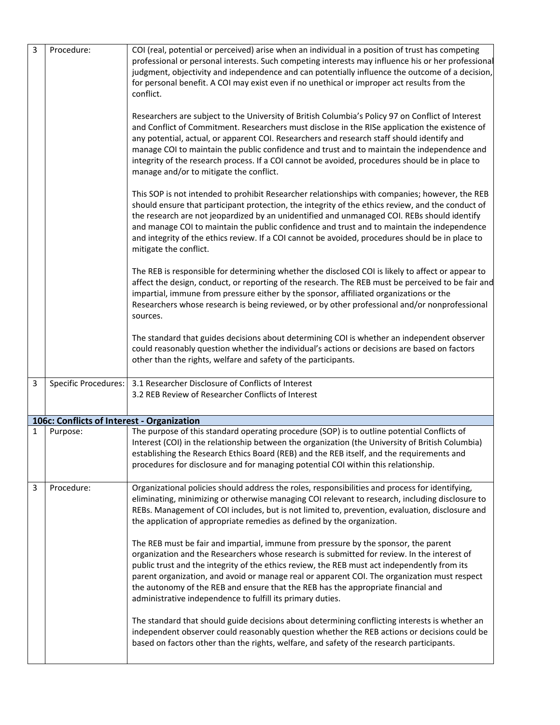| 3 | Procedure:                                 | COI (real, potential or perceived) arise when an individual in a position of trust has competing<br>professional or personal interests. Such competing interests may influence his or her professional<br>judgment, objectivity and independence and can potentially influence the outcome of a decision,<br>for personal benefit. A COI may exist even if no unethical or improper act results from the<br>conflict.                                                                                                                          |
|---|--------------------------------------------|------------------------------------------------------------------------------------------------------------------------------------------------------------------------------------------------------------------------------------------------------------------------------------------------------------------------------------------------------------------------------------------------------------------------------------------------------------------------------------------------------------------------------------------------|
|   |                                            | Researchers are subject to the University of British Columbia's Policy 97 on Conflict of Interest<br>and Conflict of Commitment. Researchers must disclose in the RISe application the existence of<br>any potential, actual, or apparent COI. Researchers and research staff should identify and<br>manage COI to maintain the public confidence and trust and to maintain the independence and<br>integrity of the research process. If a COI cannot be avoided, procedures should be in place to<br>manage and/or to mitigate the conflict. |
|   |                                            | This SOP is not intended to prohibit Researcher relationships with companies; however, the REB<br>should ensure that participant protection, the integrity of the ethics review, and the conduct of<br>the research are not jeopardized by an unidentified and unmanaged COI. REBs should identify<br>and manage COI to maintain the public confidence and trust and to maintain the independence<br>and integrity of the ethics review. If a COI cannot be avoided, procedures should be in place to<br>mitigate the conflict.                |
|   |                                            | The REB is responsible for determining whether the disclosed COI is likely to affect or appear to<br>affect the design, conduct, or reporting of the research. The REB must be perceived to be fair and<br>impartial, immune from pressure either by the sponsor, affiliated organizations or the<br>Researchers whose research is being reviewed, or by other professional and/or nonprofessional<br>sources.                                                                                                                                 |
|   |                                            | The standard that guides decisions about determining COI is whether an independent observer<br>could reasonably question whether the individual's actions or decisions are based on factors<br>other than the rights, welfare and safety of the participants.                                                                                                                                                                                                                                                                                  |
| 3 | Specific Procedures:                       | 3.1 Researcher Disclosure of Conflicts of Interest<br>3.2 REB Review of Researcher Conflicts of Interest                                                                                                                                                                                                                                                                                                                                                                                                                                       |
|   | 106c: Conflicts of Interest - Organization |                                                                                                                                                                                                                                                                                                                                                                                                                                                                                                                                                |
| 1 | Purpose:                                   | The purpose of this standard operating procedure (SOP) is to outline potential Conflicts of<br>Interest (COI) in the relationship between the organization (the University of British Columbia)<br>establishing the Research Ethics Board (REB) and the REB itself, and the requirements and<br>procedures for disclosure and for managing potential COI within this relationship.                                                                                                                                                             |
| 3 | Procedure:                                 | Organizational policies should address the roles, responsibilities and process for identifying,<br>eliminating, minimizing or otherwise managing COI relevant to research, including disclosure to<br>REBs. Management of COI includes, but is not limited to, prevention, evaluation, disclosure and<br>the application of appropriate remedies as defined by the organization.                                                                                                                                                               |
|   |                                            | The REB must be fair and impartial, immune from pressure by the sponsor, the parent<br>organization and the Researchers whose research is submitted for review. In the interest of<br>public trust and the integrity of the ethics review, the REB must act independently from its<br>parent organization, and avoid or manage real or apparent COI. The organization must respect<br>the autonomy of the REB and ensure that the REB has the appropriate financial and<br>administrative independence to fulfill its primary duties.          |
|   |                                            | The standard that should guide decisions about determining conflicting interests is whether an<br>independent observer could reasonably question whether the REB actions or decisions could be<br>based on factors other than the rights, welfare, and safety of the research participants.                                                                                                                                                                                                                                                    |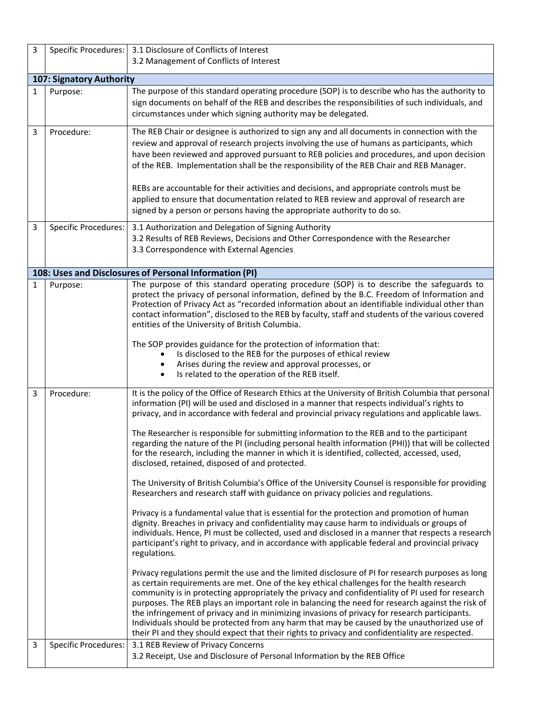| 3            |                             | Specific Procedures:   3.1 Disclosure of Conflicts of Interest<br>3.2 Management of Conflicts of Interest                                                                                                                                                                                                                                                                                                                                                                                                                                                                                                                                                                                                                                                                                                                                                                                                                                                                                                                                                                                                                                                                                                                                                                                                                                                                                                                                                                                                                                                                                                                                                                                                                                                                                                                                                                                                                                                                                       |
|--------------|-----------------------------|-------------------------------------------------------------------------------------------------------------------------------------------------------------------------------------------------------------------------------------------------------------------------------------------------------------------------------------------------------------------------------------------------------------------------------------------------------------------------------------------------------------------------------------------------------------------------------------------------------------------------------------------------------------------------------------------------------------------------------------------------------------------------------------------------------------------------------------------------------------------------------------------------------------------------------------------------------------------------------------------------------------------------------------------------------------------------------------------------------------------------------------------------------------------------------------------------------------------------------------------------------------------------------------------------------------------------------------------------------------------------------------------------------------------------------------------------------------------------------------------------------------------------------------------------------------------------------------------------------------------------------------------------------------------------------------------------------------------------------------------------------------------------------------------------------------------------------------------------------------------------------------------------------------------------------------------------------------------------------------------------|
|              | 107: Signatory Authority    |                                                                                                                                                                                                                                                                                                                                                                                                                                                                                                                                                                                                                                                                                                                                                                                                                                                                                                                                                                                                                                                                                                                                                                                                                                                                                                                                                                                                                                                                                                                                                                                                                                                                                                                                                                                                                                                                                                                                                                                                 |
| $\mathbf{1}$ | Purpose:                    | The purpose of this standard operating procedure (SOP) is to describe who has the authority to<br>sign documents on behalf of the REB and describes the responsibilities of such individuals, and<br>circumstances under which signing authority may be delegated.                                                                                                                                                                                                                                                                                                                                                                                                                                                                                                                                                                                                                                                                                                                                                                                                                                                                                                                                                                                                                                                                                                                                                                                                                                                                                                                                                                                                                                                                                                                                                                                                                                                                                                                              |
| 3            | Procedure:                  | The REB Chair or designee is authorized to sign any and all documents in connection with the<br>review and approval of research projects involving the use of humans as participants, which<br>have been reviewed and approved pursuant to REB policies and procedures, and upon decision<br>of the REB. Implementation shall be the responsibility of the REB Chair and REB Manager.<br>REBs are accountable for their activities and decisions, and appropriate controls must be<br>applied to ensure that documentation related to REB review and approval of research are<br>signed by a person or persons having the appropriate authority to do so.                                                                                                                                                                                                                                                                                                                                                                                                                                                                                                                                                                                                                                                                                                                                                                                                                                                                                                                                                                                                                                                                                                                                                                                                                                                                                                                                       |
| 3            | <b>Specific Procedures:</b> | 3.1 Authorization and Delegation of Signing Authority<br>3.2 Results of REB Reviews, Decisions and Other Correspondence with the Researcher<br>3.3 Correspondence with External Agencies                                                                                                                                                                                                                                                                                                                                                                                                                                                                                                                                                                                                                                                                                                                                                                                                                                                                                                                                                                                                                                                                                                                                                                                                                                                                                                                                                                                                                                                                                                                                                                                                                                                                                                                                                                                                        |
|              |                             | 108: Uses and Disclosures of Personal Information (PI)                                                                                                                                                                                                                                                                                                                                                                                                                                                                                                                                                                                                                                                                                                                                                                                                                                                                                                                                                                                                                                                                                                                                                                                                                                                                                                                                                                                                                                                                                                                                                                                                                                                                                                                                                                                                                                                                                                                                          |
| 1            | Purpose:                    | The purpose of this standard operating procedure (SOP) is to describe the safeguards to<br>protect the privacy of personal information, defined by the B.C. Freedom of Information and<br>Protection of Privacy Act as "recorded information about an identifiable individual other than<br>contact information", disclosed to the REB by faculty, staff and students of the various covered<br>entities of the University of British Columbia.<br>The SOP provides guidance for the protection of information that:<br>Is disclosed to the REB for the purposes of ethical review<br>Arises during the review and approval processes, or<br>Is related to the operation of the REB itself.<br>$\bullet$                                                                                                                                                                                                                                                                                                                                                                                                                                                                                                                                                                                                                                                                                                                                                                                                                                                                                                                                                                                                                                                                                                                                                                                                                                                                                        |
| 3            | Procedure:                  | It is the policy of the Office of Research Ethics at the University of British Columbia that personal<br>information (PI) will be used and disclosed in a manner that respects individual's rights to<br>privacy, and in accordance with federal and provincial privacy regulations and applicable laws.<br>The Researcher is responsible for submitting information to the REB and to the participant<br>regarding the nature of the PI (including personal health information (PHI)) that will be collected<br>for the research, including the manner in which it is identified, collected, accessed, used,<br>disclosed, retained, disposed of and protected.<br>The University of British Columbia's Office of the University Counsel is responsible for providing<br>Researchers and research staff with guidance on privacy policies and regulations.<br>Privacy is a fundamental value that is essential for the protection and promotion of human<br>dignity. Breaches in privacy and confidentiality may cause harm to individuals or groups of<br>individuals. Hence, PI must be collected, used and disclosed in a manner that respects a research<br>participant's right to privacy, and in accordance with applicable federal and provincial privacy<br>regulations.<br>Privacy regulations permit the use and the limited disclosure of PI for research purposes as long<br>as certain requirements are met. One of the key ethical challenges for the health research<br>community is in protecting appropriately the privacy and confidentiality of PI used for research<br>purposes. The REB plays an important role in balancing the need for research against the risk of<br>the infringement of privacy and in minimizing invasions of privacy for research participants.<br>Individuals should be protected from any harm that may be caused by the unauthorized use of<br>their PI and they should expect that their rights to privacy and confidentiality are respected. |
| 3            | <b>Specific Procedures:</b> | 3.1 REB Review of Privacy Concerns<br>3.2 Receipt, Use and Disclosure of Personal Information by the REB Office                                                                                                                                                                                                                                                                                                                                                                                                                                                                                                                                                                                                                                                                                                                                                                                                                                                                                                                                                                                                                                                                                                                                                                                                                                                                                                                                                                                                                                                                                                                                                                                                                                                                                                                                                                                                                                                                                 |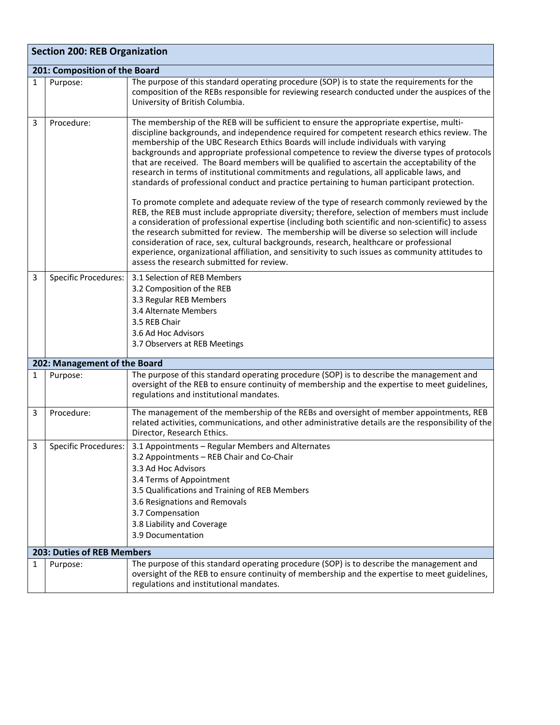|   | <b>Section 200: REB Organization</b> |                                                                                                                                                                                                                                                                                                                                                                                                                                                                                                                                                                                                                                                                                                                                                                                                                                                                                                                                                                                                                                                                                                                                                                                                                                                                                                                      |  |
|---|--------------------------------------|----------------------------------------------------------------------------------------------------------------------------------------------------------------------------------------------------------------------------------------------------------------------------------------------------------------------------------------------------------------------------------------------------------------------------------------------------------------------------------------------------------------------------------------------------------------------------------------------------------------------------------------------------------------------------------------------------------------------------------------------------------------------------------------------------------------------------------------------------------------------------------------------------------------------------------------------------------------------------------------------------------------------------------------------------------------------------------------------------------------------------------------------------------------------------------------------------------------------------------------------------------------------------------------------------------------------|--|
|   | 201: Composition of the Board        |                                                                                                                                                                                                                                                                                                                                                                                                                                                                                                                                                                                                                                                                                                                                                                                                                                                                                                                                                                                                                                                                                                                                                                                                                                                                                                                      |  |
| 1 | Purpose:                             | The purpose of this standard operating procedure (SOP) is to state the requirements for the<br>composition of the REBs responsible for reviewing research conducted under the auspices of the<br>University of British Columbia.                                                                                                                                                                                                                                                                                                                                                                                                                                                                                                                                                                                                                                                                                                                                                                                                                                                                                                                                                                                                                                                                                     |  |
| 3 | Procedure:                           | The membership of the REB will be sufficient to ensure the appropriate expertise, multi-<br>discipline backgrounds, and independence required for competent research ethics review. The<br>membership of the UBC Research Ethics Boards will include individuals with varying<br>backgrounds and appropriate professional competence to review the diverse types of protocols<br>that are received. The Board members will be qualified to ascertain the acceptability of the<br>research in terms of institutional commitments and regulations, all applicable laws, and<br>standards of professional conduct and practice pertaining to human participant protection.<br>To promote complete and adequate review of the type of research commonly reviewed by the<br>REB, the REB must include appropriate diversity; therefore, selection of members must include<br>a consideration of professional expertise (including both scientific and non-scientific) to assess<br>the research submitted for review. The membership will be diverse so selection will include<br>consideration of race, sex, cultural backgrounds, research, healthcare or professional<br>experience, organizational affiliation, and sensitivity to such issues as community attitudes to<br>assess the research submitted for review. |  |
| 3 | <b>Specific Procedures:</b>          | 3.1 Selection of REB Members<br>3.2 Composition of the REB<br>3.3 Regular REB Members<br>3.4 Alternate Members<br>3.5 REB Chair<br>3.6 Ad Hoc Advisors<br>3.7 Observers at REB Meetings                                                                                                                                                                                                                                                                                                                                                                                                                                                                                                                                                                                                                                                                                                                                                                                                                                                                                                                                                                                                                                                                                                                              |  |
|   | 202: Management of the Board         |                                                                                                                                                                                                                                                                                                                                                                                                                                                                                                                                                                                                                                                                                                                                                                                                                                                                                                                                                                                                                                                                                                                                                                                                                                                                                                                      |  |
| 1 | Purpose:                             | The purpose of this standard operating procedure (SOP) is to describe the management and<br>oversight of the REB to ensure continuity of membership and the expertise to meet guidelines,<br>regulations and institutional mandates.                                                                                                                                                                                                                                                                                                                                                                                                                                                                                                                                                                                                                                                                                                                                                                                                                                                                                                                                                                                                                                                                                 |  |
| 3 | Procedure:                           | The management of the membership of the REBs and oversight of member appointments, REB<br>related activities, communications, and other administrative details are the responsibility of the<br>Director, Research Ethics.                                                                                                                                                                                                                                                                                                                                                                                                                                                                                                                                                                                                                                                                                                                                                                                                                                                                                                                                                                                                                                                                                           |  |
| 3 | <b>Specific Procedures:</b>          | 3.1 Appointments - Regular Members and Alternates<br>3.2 Appointments - REB Chair and Co-Chair<br>3.3 Ad Hoc Advisors<br>3.4 Terms of Appointment<br>3.5 Qualifications and Training of REB Members<br>3.6 Resignations and Removals<br>3.7 Compensation<br>3.8 Liability and Coverage<br>3.9 Documentation                                                                                                                                                                                                                                                                                                                                                                                                                                                                                                                                                                                                                                                                                                                                                                                                                                                                                                                                                                                                          |  |
|   | 203: Duties of REB Members           |                                                                                                                                                                                                                                                                                                                                                                                                                                                                                                                                                                                                                                                                                                                                                                                                                                                                                                                                                                                                                                                                                                                                                                                                                                                                                                                      |  |
| 1 | Purpose:                             | The purpose of this standard operating procedure (SOP) is to describe the management and<br>oversight of the REB to ensure continuity of membership and the expertise to meet guidelines,<br>regulations and institutional mandates.                                                                                                                                                                                                                                                                                                                                                                                                                                                                                                                                                                                                                                                                                                                                                                                                                                                                                                                                                                                                                                                                                 |  |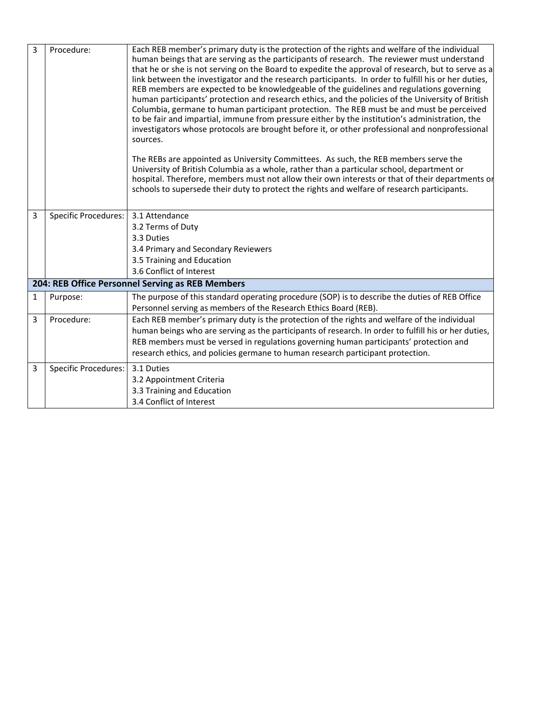| 3 | Procedure:                  | Each REB member's primary duty is the protection of the rights and welfare of the individual         |
|---|-----------------------------|------------------------------------------------------------------------------------------------------|
|   |                             | human beings that are serving as the participants of research. The reviewer must understand          |
|   |                             | that he or she is not serving on the Board to expedite the approval of research, but to serve as a   |
|   |                             | link between the investigator and the research participants. In order to fulfill his or her duties,  |
|   |                             | REB members are expected to be knowledgeable of the guidelines and regulations governing             |
|   |                             | human participants' protection and research ethics, and the policies of the University of British    |
|   |                             | Columbia, germane to human participant protection. The REB must be and must be perceived             |
|   |                             | to be fair and impartial, immune from pressure either by the institution's administration, the       |
|   |                             | investigators whose protocols are brought before it, or other professional and nonprofessional       |
|   |                             | sources.                                                                                             |
|   |                             | The REBs are appointed as University Committees. As such, the REB members serve the                  |
|   |                             | University of British Columbia as a whole, rather than a particular school, department or            |
|   |                             | hospital. Therefore, members must not allow their own interests or that of their departments or      |
|   |                             | schools to supersede their duty to protect the rights and welfare of research participants.          |
|   |                             |                                                                                                      |
| 3 | <b>Specific Procedures:</b> | 3.1 Attendance                                                                                       |
|   |                             | 3.2 Terms of Duty                                                                                    |
|   |                             | 3.3 Duties                                                                                           |
|   |                             | 3.4 Primary and Secondary Reviewers                                                                  |
|   |                             | 3.5 Training and Education                                                                           |
|   |                             | 3.6 Conflict of Interest                                                                             |
|   |                             | 204: REB Office Personnel Serving as REB Members                                                     |
| 1 | Purpose:                    | The purpose of this standard operating procedure (SOP) is to describe the duties of REB Office       |
|   |                             | Personnel serving as members of the Research Ethics Board (REB).                                     |
| 3 | Procedure:                  | Each REB member's primary duty is the protection of the rights and welfare of the individual         |
|   |                             | human beings who are serving as the participants of research. In order to fulfill his or her duties, |
|   |                             | REB members must be versed in regulations governing human participants' protection and               |
|   |                             | research ethics, and policies germane to human research participant protection.                      |
| 3 | <b>Specific Procedures:</b> | 3.1 Duties                                                                                           |
|   |                             | 3.2 Appointment Criteria                                                                             |
|   |                             | 3.3 Training and Education                                                                           |
|   |                             | 3.4 Conflict of Interest                                                                             |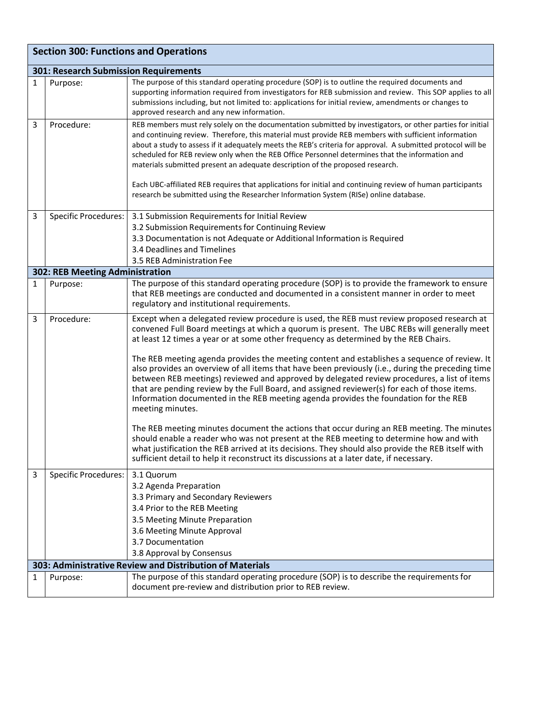|   | <b>Section 300: Functions and Operations</b> |                                                                                                                                                                                                                                                                                                                                                                                                                                                                                                                                                                                                                                                                                                                                                                                                                                                                                                                                                                                                                                                                                                                                                                                            |  |  |
|---|----------------------------------------------|--------------------------------------------------------------------------------------------------------------------------------------------------------------------------------------------------------------------------------------------------------------------------------------------------------------------------------------------------------------------------------------------------------------------------------------------------------------------------------------------------------------------------------------------------------------------------------------------------------------------------------------------------------------------------------------------------------------------------------------------------------------------------------------------------------------------------------------------------------------------------------------------------------------------------------------------------------------------------------------------------------------------------------------------------------------------------------------------------------------------------------------------------------------------------------------------|--|--|
|   | 301: Research Submission Requirements        |                                                                                                                                                                                                                                                                                                                                                                                                                                                                                                                                                                                                                                                                                                                                                                                                                                                                                                                                                                                                                                                                                                                                                                                            |  |  |
| 1 | Purpose:                                     | The purpose of this standard operating procedure (SOP) is to outline the required documents and<br>supporting information required from investigators for REB submission and review. This SOP applies to all<br>submissions including, but not limited to: applications for initial review, amendments or changes to<br>approved research and any new information.                                                                                                                                                                                                                                                                                                                                                                                                                                                                                                                                                                                                                                                                                                                                                                                                                         |  |  |
| 3 | Procedure:                                   | REB members must rely solely on the documentation submitted by investigators, or other parties for initial<br>and continuing review. Therefore, this material must provide REB members with sufficient information<br>about a study to assess if it adequately meets the REB's criteria for approval. A submitted protocol will be<br>scheduled for REB review only when the REB Office Personnel determines that the information and<br>materials submitted present an adequate description of the proposed research.<br>Each UBC-affiliated REB requires that applications for initial and continuing review of human participants<br>research be submitted using the Researcher Information System (RISe) online database.                                                                                                                                                                                                                                                                                                                                                                                                                                                              |  |  |
| 3 | Specific Procedures:                         | 3.1 Submission Requirements for Initial Review                                                                                                                                                                                                                                                                                                                                                                                                                                                                                                                                                                                                                                                                                                                                                                                                                                                                                                                                                                                                                                                                                                                                             |  |  |
|   |                                              | 3.2 Submission Requirements for Continuing Review<br>3.3 Documentation is not Adequate or Additional Information is Required                                                                                                                                                                                                                                                                                                                                                                                                                                                                                                                                                                                                                                                                                                                                                                                                                                                                                                                                                                                                                                                               |  |  |
|   |                                              | 3.4 Deadlines and Timelines                                                                                                                                                                                                                                                                                                                                                                                                                                                                                                                                                                                                                                                                                                                                                                                                                                                                                                                                                                                                                                                                                                                                                                |  |  |
|   |                                              | 3.5 REB Administration Fee                                                                                                                                                                                                                                                                                                                                                                                                                                                                                                                                                                                                                                                                                                                                                                                                                                                                                                                                                                                                                                                                                                                                                                 |  |  |
|   | 302: REB Meeting Administration              |                                                                                                                                                                                                                                                                                                                                                                                                                                                                                                                                                                                                                                                                                                                                                                                                                                                                                                                                                                                                                                                                                                                                                                                            |  |  |
| 1 | Purpose:                                     | The purpose of this standard operating procedure (SOP) is to provide the framework to ensure<br>that REB meetings are conducted and documented in a consistent manner in order to meet<br>regulatory and institutional requirements.                                                                                                                                                                                                                                                                                                                                                                                                                                                                                                                                                                                                                                                                                                                                                                                                                                                                                                                                                       |  |  |
| 3 | Procedure:                                   | Except when a delegated review procedure is used, the REB must review proposed research at<br>convened Full Board meetings at which a quorum is present. The UBC REBs will generally meet<br>at least 12 times a year or at some other frequency as determined by the REB Chairs.<br>The REB meeting agenda provides the meeting content and establishes a sequence of review. It<br>also provides an overview of all items that have been previously (i.e., during the preceding time<br>between REB meetings) reviewed and approved by delegated review procedures, a list of items<br>that are pending review by the Full Board, and assigned reviewer(s) for each of those items.<br>Information documented in the REB meeting agenda provides the foundation for the REB<br>meeting minutes.<br>The REB meeting minutes document the actions that occur during an REB meeting. The minutes<br>should enable a reader who was not present at the REB meeting to determine how and with<br>what justification the REB arrived at its decisions. They should also provide the REB itself with<br>sufficient detail to help it reconstruct its discussions at a later date, if necessary. |  |  |
| 3 | Specific Procedures:                         | 3.1 Quorum<br>3.2 Agenda Preparation<br>3.3 Primary and Secondary Reviewers<br>3.4 Prior to the REB Meeting<br>3.5 Meeting Minute Preparation<br>3.6 Meeting Minute Approval<br>3.7 Documentation<br>3.8 Approval by Consensus                                                                                                                                                                                                                                                                                                                                                                                                                                                                                                                                                                                                                                                                                                                                                                                                                                                                                                                                                             |  |  |
|   |                                              | 303: Administrative Review and Distribution of Materials                                                                                                                                                                                                                                                                                                                                                                                                                                                                                                                                                                                                                                                                                                                                                                                                                                                                                                                                                                                                                                                                                                                                   |  |  |
| 1 | Purpose:                                     | The purpose of this standard operating procedure (SOP) is to describe the requirements for<br>document pre-review and distribution prior to REB review.                                                                                                                                                                                                                                                                                                                                                                                                                                                                                                                                                                                                                                                                                                                                                                                                                                                                                                                                                                                                                                    |  |  |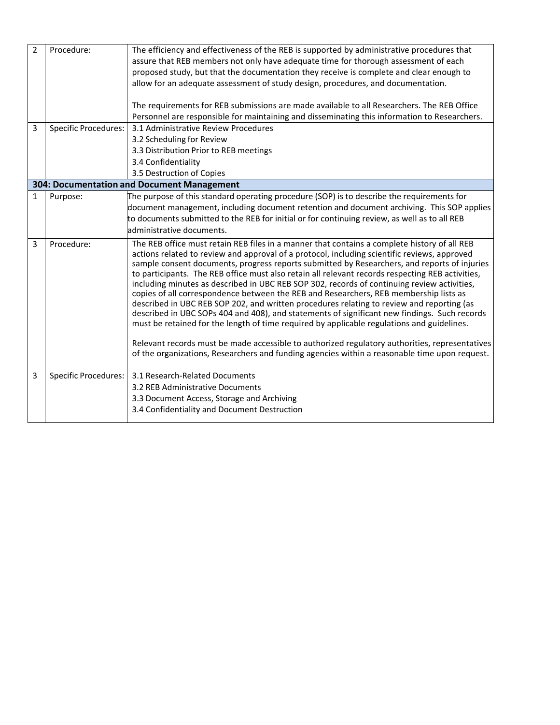| $\overline{2}$ | Procedure:                  | The efficiency and effectiveness of the REB is supported by administrative procedures that                                                                                           |
|----------------|-----------------------------|--------------------------------------------------------------------------------------------------------------------------------------------------------------------------------------|
|                |                             | assure that REB members not only have adequate time for thorough assessment of each                                                                                                  |
|                |                             | proposed study, but that the documentation they receive is complete and clear enough to                                                                                              |
|                |                             | allow for an adequate assessment of study design, procedures, and documentation.                                                                                                     |
|                |                             | The requirements for REB submissions are made available to all Researchers. The REB Office                                                                                           |
|                |                             | Personnel are responsible for maintaining and disseminating this information to Researchers.                                                                                         |
| 3              | <b>Specific Procedures:</b> | 3.1 Administrative Review Procedures                                                                                                                                                 |
|                |                             | 3.2 Scheduling for Review                                                                                                                                                            |
|                |                             | 3.3 Distribution Prior to REB meetings                                                                                                                                               |
|                |                             | 3.4 Confidentiality                                                                                                                                                                  |
|                |                             | 3.5 Destruction of Copies                                                                                                                                                            |
|                |                             | 304: Documentation and Document Management                                                                                                                                           |
| $\mathbf{1}$   | Purpose:                    | The purpose of this standard operating procedure (SOP) is to describe the requirements for                                                                                           |
|                |                             | document management, including document retention and document archiving. This SOP applies                                                                                           |
|                |                             | to documents submitted to the REB for initial or for continuing review, as well as to all REB                                                                                        |
|                |                             | administrative documents.                                                                                                                                                            |
| 3              | Procedure:                  | The REB office must retain REB files in a manner that contains a complete history of all REB                                                                                         |
|                |                             | actions related to review and approval of a protocol, including scientific reviews, approved                                                                                         |
|                |                             | sample consent documents, progress reports submitted by Researchers, and reports of injuries                                                                                         |
|                |                             | to participants. The REB office must also retain all relevant records respecting REB activities,                                                                                     |
|                |                             | including minutes as described in UBC REB SOP 302, records of continuing review activities,<br>copies of all correspondence between the REB and Researchers, REB membership lists as |
|                |                             | described in UBC REB SOP 202, and written procedures relating to review and reporting (as                                                                                            |
|                |                             | described in UBC SOPs 404 and 408), and statements of significant new findings. Such records                                                                                         |
|                |                             | must be retained for the length of time required by applicable regulations and guidelines.                                                                                           |
|                |                             |                                                                                                                                                                                      |
|                |                             | Relevant records must be made accessible to authorized regulatory authorities, representatives                                                                                       |
|                |                             | of the organizations, Researchers and funding agencies within a reasonable time upon request.                                                                                        |
|                |                             |                                                                                                                                                                                      |
| 3              | Specific Procedures:        | 3.1 Research-Related Documents                                                                                                                                                       |
|                |                             | 3.2 REB Administrative Documents                                                                                                                                                     |
|                |                             | 3.3 Document Access, Storage and Archiving                                                                                                                                           |
|                |                             | 3.4 Confidentiality and Document Destruction                                                                                                                                         |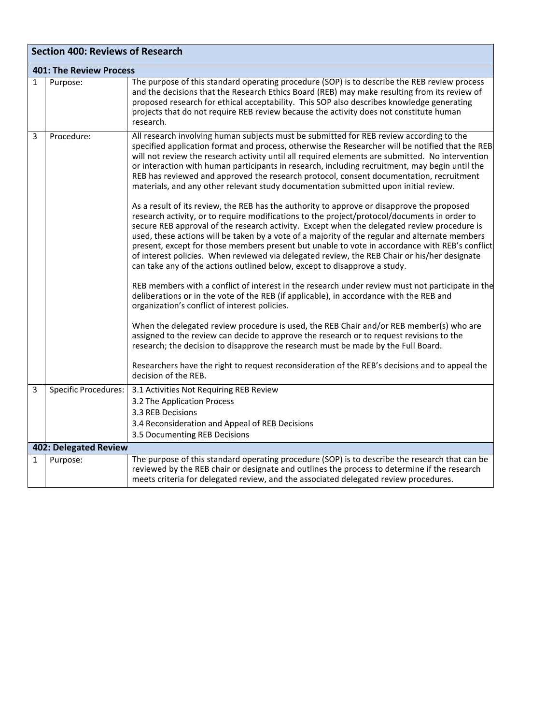|              | <b>Section 400: Reviews of Research</b> |                                                                                                                                                                                                                                                                                                                                                                                                                                                                                                                                                                                                                                                                                                                                                                                                                                                                                                                                                                                                                                                                                                                                                                                                                                                                                                                                                                                                                                                                                                                                                                                                                                                                                                                                                                                                                                                                                                                          |  |
|--------------|-----------------------------------------|--------------------------------------------------------------------------------------------------------------------------------------------------------------------------------------------------------------------------------------------------------------------------------------------------------------------------------------------------------------------------------------------------------------------------------------------------------------------------------------------------------------------------------------------------------------------------------------------------------------------------------------------------------------------------------------------------------------------------------------------------------------------------------------------------------------------------------------------------------------------------------------------------------------------------------------------------------------------------------------------------------------------------------------------------------------------------------------------------------------------------------------------------------------------------------------------------------------------------------------------------------------------------------------------------------------------------------------------------------------------------------------------------------------------------------------------------------------------------------------------------------------------------------------------------------------------------------------------------------------------------------------------------------------------------------------------------------------------------------------------------------------------------------------------------------------------------------------------------------------------------------------------------------------------------|--|
|              | <b>401: The Review Process</b>          |                                                                                                                                                                                                                                                                                                                                                                                                                                                                                                                                                                                                                                                                                                                                                                                                                                                                                                                                                                                                                                                                                                                                                                                                                                                                                                                                                                                                                                                                                                                                                                                                                                                                                                                                                                                                                                                                                                                          |  |
| $\mathbf{1}$ | Purpose:                                | The purpose of this standard operating procedure (SOP) is to describe the REB review process<br>and the decisions that the Research Ethics Board (REB) may make resulting from its review of<br>proposed research for ethical acceptability. This SOP also describes knowledge generating<br>projects that do not require REB review because the activity does not constitute human<br>research.                                                                                                                                                                                                                                                                                                                                                                                                                                                                                                                                                                                                                                                                                                                                                                                                                                                                                                                                                                                                                                                                                                                                                                                                                                                                                                                                                                                                                                                                                                                         |  |
| 3            | Procedure:                              | All research involving human subjects must be submitted for REB review according to the<br>specified application format and process, otherwise the Researcher will be notified that the REB<br>will not review the research activity until all required elements are submitted. No intervention<br>or interaction with human participants in research, including recruitment, may begin until the<br>REB has reviewed and approved the research protocol, consent documentation, recruitment<br>materials, and any other relevant study documentation submitted upon initial review.<br>As a result of its review, the REB has the authority to approve or disapprove the proposed<br>research activity, or to require modifications to the project/protocol/documents in order to<br>secure REB approval of the research activity. Except when the delegated review procedure is<br>used, these actions will be taken by a vote of a majority of the regular and alternate members<br>present, except for those members present but unable to vote in accordance with REB's conflict<br>of interest policies. When reviewed via delegated review, the REB Chair or his/her designate<br>can take any of the actions outlined below, except to disapprove a study.<br>REB members with a conflict of interest in the research under review must not participate in the<br>deliberations or in the vote of the REB (if applicable), in accordance with the REB and<br>organization's conflict of interest policies.<br>When the delegated review procedure is used, the REB Chair and/or REB member(s) who are<br>assigned to the review can decide to approve the research or to request revisions to the<br>research; the decision to disapprove the research must be made by the Full Board.<br>Researchers have the right to request reconsideration of the REB's decisions and to appeal the<br>decision of the REB. |  |
| 3            | Specific Procedures:                    | 3.1 Activities Not Requiring REB Review<br>3.2 The Application Process<br>3.3 REB Decisions<br>3.4 Reconsideration and Appeal of REB Decisions<br>3.5 Documenting REB Decisions                                                                                                                                                                                                                                                                                                                                                                                                                                                                                                                                                                                                                                                                                                                                                                                                                                                                                                                                                                                                                                                                                                                                                                                                                                                                                                                                                                                                                                                                                                                                                                                                                                                                                                                                          |  |
|              | 402: Delegated Review                   |                                                                                                                                                                                                                                                                                                                                                                                                                                                                                                                                                                                                                                                                                                                                                                                                                                                                                                                                                                                                                                                                                                                                                                                                                                                                                                                                                                                                                                                                                                                                                                                                                                                                                                                                                                                                                                                                                                                          |  |
| 1            | Purpose:                                | The purpose of this standard operating procedure (SOP) is to describe the research that can be<br>reviewed by the REB chair or designate and outlines the process to determine if the research<br>meets criteria for delegated review, and the associated delegated review procedures.                                                                                                                                                                                                                                                                                                                                                                                                                                                                                                                                                                                                                                                                                                                                                                                                                                                                                                                                                                                                                                                                                                                                                                                                                                                                                                                                                                                                                                                                                                                                                                                                                                   |  |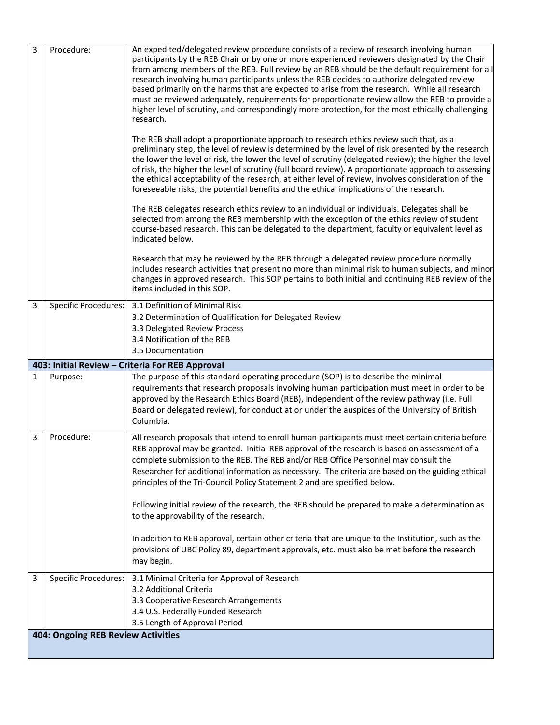| 3                                         | Procedure:                  | An expedited/delegated review procedure consists of a review of research involving human<br>participants by the REB Chair or by one or more experienced reviewers designated by the Chair<br>from among members of the REB. Full review by an REB should be the default requirement for all<br>research involving human participants unless the REB decides to authorize delegated review<br>based primarily on the harms that are expected to arise from the research. While all research<br>must be reviewed adequately, requirements for proportionate review allow the REB to provide a<br>higher level of scrutiny, and correspondingly more protection, for the most ethically challenging<br>research.<br>The REB shall adopt a proportionate approach to research ethics review such that, as a<br>preliminary step, the level of review is determined by the level of risk presented by the research:<br>the lower the level of risk, the lower the level of scrutiny (delegated review); the higher the level<br>of risk, the higher the level of scrutiny (full board review). A proportionate approach to assessing<br>the ethical acceptability of the research, at either level of review, involves consideration of the<br>foreseeable risks, the potential benefits and the ethical implications of the research.<br>The REB delegates research ethics review to an individual or individuals. Delegates shall be<br>selected from among the REB membership with the exception of the ethics review of student<br>course-based research. This can be delegated to the department, faculty or equivalent level as<br>indicated below. |
|-------------------------------------------|-----------------------------|------------------------------------------------------------------------------------------------------------------------------------------------------------------------------------------------------------------------------------------------------------------------------------------------------------------------------------------------------------------------------------------------------------------------------------------------------------------------------------------------------------------------------------------------------------------------------------------------------------------------------------------------------------------------------------------------------------------------------------------------------------------------------------------------------------------------------------------------------------------------------------------------------------------------------------------------------------------------------------------------------------------------------------------------------------------------------------------------------------------------------------------------------------------------------------------------------------------------------------------------------------------------------------------------------------------------------------------------------------------------------------------------------------------------------------------------------------------------------------------------------------------------------------------------------------------------------------------------------------------------------------------------------|
|                                           |                             | Research that may be reviewed by the REB through a delegated review procedure normally<br>includes research activities that present no more than minimal risk to human subjects, and minor<br>changes in approved research. This SOP pertains to both initial and continuing REB review of the<br>items included in this SOP.                                                                                                                                                                                                                                                                                                                                                                                                                                                                                                                                                                                                                                                                                                                                                                                                                                                                                                                                                                                                                                                                                                                                                                                                                                                                                                                        |
| 3                                         | <b>Specific Procedures:</b> | 3.1 Definition of Minimal Risk<br>3.2 Determination of Qualification for Delegated Review<br>3.3 Delegated Review Process<br>3.4 Notification of the REB<br>3.5 Documentation                                                                                                                                                                                                                                                                                                                                                                                                                                                                                                                                                                                                                                                                                                                                                                                                                                                                                                                                                                                                                                                                                                                                                                                                                                                                                                                                                                                                                                                                        |
|                                           |                             | 403: Initial Review - Criteria For REB Approval                                                                                                                                                                                                                                                                                                                                                                                                                                                                                                                                                                                                                                                                                                                                                                                                                                                                                                                                                                                                                                                                                                                                                                                                                                                                                                                                                                                                                                                                                                                                                                                                      |
| $\mathbf{1}$                              | Purpose:                    | The purpose of this standard operating procedure (SOP) is to describe the minimal<br>requirements that research proposals involving human participation must meet in order to be<br>approved by the Research Ethics Board (REB), independent of the review pathway (i.e. Full<br>Board or delegated review), for conduct at or under the auspices of the University of British<br>Columbia.                                                                                                                                                                                                                                                                                                                                                                                                                                                                                                                                                                                                                                                                                                                                                                                                                                                                                                                                                                                                                                                                                                                                                                                                                                                          |
| 3                                         | Procedure:                  | All research proposals that intend to enroll human participants must meet certain criteria before<br>REB approval may be granted. Initial REB approval of the research is based on assessment of a<br>complete submission to the REB. The REB and/or REB Office Personnel may consult the<br>Researcher for additional information as necessary. The criteria are based on the guiding ethical<br>principles of the Tri-Council Policy Statement 2 and are specified below.<br>Following initial review of the research, the REB should be prepared to make a determination as<br>to the approvability of the research.<br>In addition to REB approval, certain other criteria that are unique to the Institution, such as the<br>provisions of UBC Policy 89, department approvals, etc. must also be met before the research<br>may begin.                                                                                                                                                                                                                                                                                                                                                                                                                                                                                                                                                                                                                                                                                                                                                                                                         |
| 3                                         | <b>Specific Procedures:</b> | 3.1 Minimal Criteria for Approval of Research<br>3.2 Additional Criteria<br>3.3 Cooperative Research Arrangements<br>3.4 U.S. Federally Funded Research<br>3.5 Length of Approval Period                                                                                                                                                                                                                                                                                                                                                                                                                                                                                                                                                                                                                                                                                                                                                                                                                                                                                                                                                                                                                                                                                                                                                                                                                                                                                                                                                                                                                                                             |
| <b>404: Ongoing REB Review Activities</b> |                             |                                                                                                                                                                                                                                                                                                                                                                                                                                                                                                                                                                                                                                                                                                                                                                                                                                                                                                                                                                                                                                                                                                                                                                                                                                                                                                                                                                                                                                                                                                                                                                                                                                                      |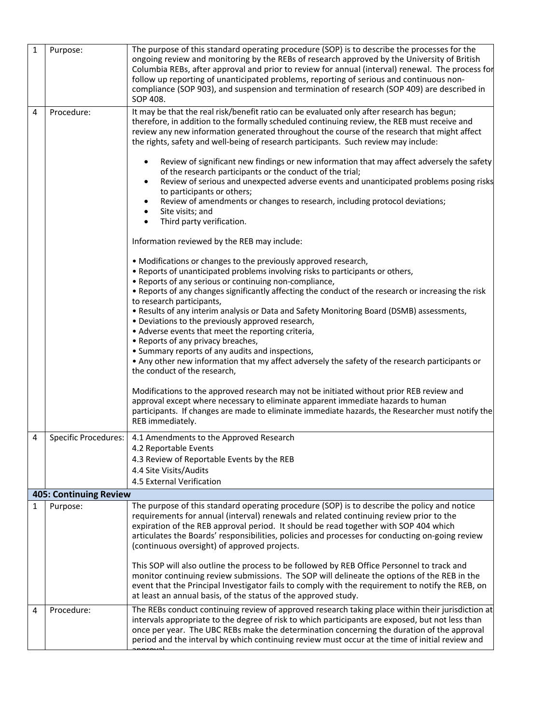| $\mathbf{1}$ | Purpose:                      | The purpose of this standard operating procedure (SOP) is to describe the processes for the<br>ongoing review and monitoring by the REBs of research approved by the University of British<br>Columbia REBs, after approval and prior to review for annual (interval) renewal. The process for<br>follow up reporting of unanticipated problems, reporting of serious and continuous non-<br>compliance (SOP 903), and suspension and termination of research (SOP 409) are described in<br>SOP 408. |
|--------------|-------------------------------|------------------------------------------------------------------------------------------------------------------------------------------------------------------------------------------------------------------------------------------------------------------------------------------------------------------------------------------------------------------------------------------------------------------------------------------------------------------------------------------------------|
| 4            | Procedure:                    | It may be that the real risk/benefit ratio can be evaluated only after research has begun;<br>therefore, in addition to the formally scheduled continuing review, the REB must receive and<br>review any new information generated throughout the course of the research that might affect<br>the rights, safety and well-being of research participants. Such review may include:<br>Review of significant new findings or new information that may affect adversely the safety                     |
|              |                               | of the research participants or the conduct of the trial;<br>Review of serious and unexpected adverse events and unanticipated problems posing risks<br>$\bullet$<br>to participants or others;<br>Review of amendments or changes to research, including protocol deviations;<br>Site visits; and<br>Third party verification.<br>$\bullet$                                                                                                                                                         |
|              |                               | Information reviewed by the REB may include:                                                                                                                                                                                                                                                                                                                                                                                                                                                         |
|              |                               | • Modifications or changes to the previously approved research,<br>. Reports of unanticipated problems involving risks to participants or others,<br>• Reports of any serious or continuing non-compliance,                                                                                                                                                                                                                                                                                          |
|              |                               | • Reports of any changes significantly affecting the conduct of the research or increasing the risk<br>to research participants,<br>. Results of any interim analysis or Data and Safety Monitoring Board (DSMB) assessments,<br>• Deviations to the previously approved research,<br>• Adverse events that meet the reporting criteria,                                                                                                                                                             |
|              |                               | • Reports of any privacy breaches,<br>• Summary reports of any audits and inspections,<br>• Any other new information that my affect adversely the safety of the research participants or<br>the conduct of the research,                                                                                                                                                                                                                                                                            |
|              |                               | Modifications to the approved research may not be initiated without prior REB review and<br>approval except where necessary to eliminate apparent immediate hazards to human<br>participants. If changes are made to eliminate immediate hazards, the Researcher must notify the<br>REB immediately.                                                                                                                                                                                                 |
| 4            | <b>Specific Procedures:</b>   | 4.1 Amendments to the Approved Research<br>4.2 Reportable Events                                                                                                                                                                                                                                                                                                                                                                                                                                     |
|              |                               | 4.3 Review of Reportable Events by the REB<br>4.4 Site Visits/Audits                                                                                                                                                                                                                                                                                                                                                                                                                                 |
|              |                               | 4.5 External Verification                                                                                                                                                                                                                                                                                                                                                                                                                                                                            |
|              | <b>405: Continuing Review</b> |                                                                                                                                                                                                                                                                                                                                                                                                                                                                                                      |
| 1            | Purpose:                      | The purpose of this standard operating procedure (SOP) is to describe the policy and notice<br>requirements for annual (interval) renewals and related continuing review prior to the<br>expiration of the REB approval period. It should be read together with SOP 404 which<br>articulates the Boards' responsibilities, policies and processes for conducting on-going review<br>(continuous oversight) of approved projects.                                                                     |
|              |                               | This SOP will also outline the process to be followed by REB Office Personnel to track and<br>monitor continuing review submissions. The SOP will delineate the options of the REB in the<br>event that the Principal Investigator fails to comply with the requirement to notify the REB, on<br>at least an annual basis, of the status of the approved study.                                                                                                                                      |
| 4            | Procedure:                    | The REBs conduct continuing review of approved research taking place within their jurisdiction at<br>intervals appropriate to the degree of risk to which participants are exposed, but not less than<br>once per year. The UBC REBs make the determination concerning the duration of the approval<br>period and the interval by which continuing review must occur at the time of initial review and                                                                                               |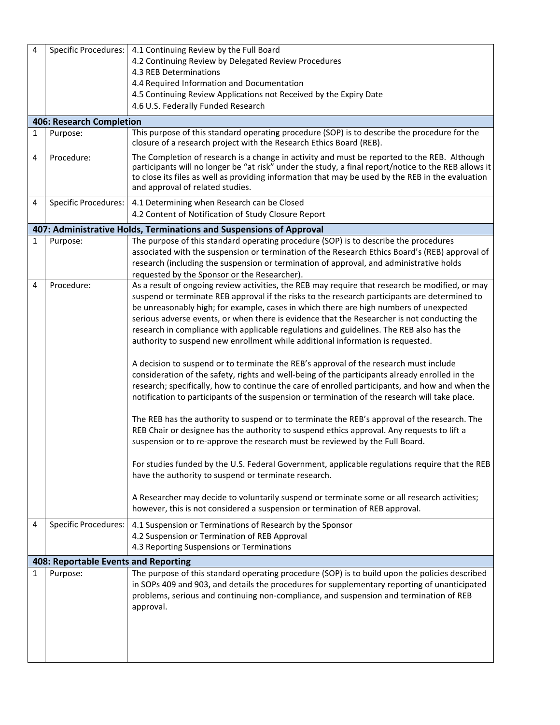| 4            | <b>Specific Procedures:</b>          | 4.1 Continuing Review by the Full Board                                                                                                                                                                                                                                                                                                                                                                                                                                                                                                                                                                                                                                                                                                                                                                                                                                                                                                                                                                                                                                                                                                                                                                                                                                                                                                                                                                                                                                                                                                                                                        |
|--------------|--------------------------------------|------------------------------------------------------------------------------------------------------------------------------------------------------------------------------------------------------------------------------------------------------------------------------------------------------------------------------------------------------------------------------------------------------------------------------------------------------------------------------------------------------------------------------------------------------------------------------------------------------------------------------------------------------------------------------------------------------------------------------------------------------------------------------------------------------------------------------------------------------------------------------------------------------------------------------------------------------------------------------------------------------------------------------------------------------------------------------------------------------------------------------------------------------------------------------------------------------------------------------------------------------------------------------------------------------------------------------------------------------------------------------------------------------------------------------------------------------------------------------------------------------------------------------------------------------------------------------------------------|
|              |                                      | 4.2 Continuing Review by Delegated Review Procedures                                                                                                                                                                                                                                                                                                                                                                                                                                                                                                                                                                                                                                                                                                                                                                                                                                                                                                                                                                                                                                                                                                                                                                                                                                                                                                                                                                                                                                                                                                                                           |
|              |                                      | 4.3 REB Determinations                                                                                                                                                                                                                                                                                                                                                                                                                                                                                                                                                                                                                                                                                                                                                                                                                                                                                                                                                                                                                                                                                                                                                                                                                                                                                                                                                                                                                                                                                                                                                                         |
|              |                                      | 4.4 Required Information and Documentation                                                                                                                                                                                                                                                                                                                                                                                                                                                                                                                                                                                                                                                                                                                                                                                                                                                                                                                                                                                                                                                                                                                                                                                                                                                                                                                                                                                                                                                                                                                                                     |
|              |                                      | 4.5 Continuing Review Applications not Received by the Expiry Date                                                                                                                                                                                                                                                                                                                                                                                                                                                                                                                                                                                                                                                                                                                                                                                                                                                                                                                                                                                                                                                                                                                                                                                                                                                                                                                                                                                                                                                                                                                             |
|              |                                      | 4.6 U.S. Federally Funded Research                                                                                                                                                                                                                                                                                                                                                                                                                                                                                                                                                                                                                                                                                                                                                                                                                                                                                                                                                                                                                                                                                                                                                                                                                                                                                                                                                                                                                                                                                                                                                             |
|              | 406: Research Completion             |                                                                                                                                                                                                                                                                                                                                                                                                                                                                                                                                                                                                                                                                                                                                                                                                                                                                                                                                                                                                                                                                                                                                                                                                                                                                                                                                                                                                                                                                                                                                                                                                |
| $\mathbf{1}$ | Purpose:                             | This purpose of this standard operating procedure (SOP) is to describe the procedure for the<br>closure of a research project with the Research Ethics Board (REB).                                                                                                                                                                                                                                                                                                                                                                                                                                                                                                                                                                                                                                                                                                                                                                                                                                                                                                                                                                                                                                                                                                                                                                                                                                                                                                                                                                                                                            |
| 4            | Procedure:                           | The Completion of research is a change in activity and must be reported to the REB. Although<br>participants will no longer be "at risk" under the study, a final report/notice to the REB allows it<br>to close its files as well as providing information that may be used by the REB in the evaluation<br>and approval of related studies.                                                                                                                                                                                                                                                                                                                                                                                                                                                                                                                                                                                                                                                                                                                                                                                                                                                                                                                                                                                                                                                                                                                                                                                                                                                  |
| 4            | <b>Specific Procedures:</b>          | 4.1 Determining when Research can be Closed<br>4.2 Content of Notification of Study Closure Report                                                                                                                                                                                                                                                                                                                                                                                                                                                                                                                                                                                                                                                                                                                                                                                                                                                                                                                                                                                                                                                                                                                                                                                                                                                                                                                                                                                                                                                                                             |
|              |                                      | 407: Administrative Holds, Terminations and Suspensions of Approval                                                                                                                                                                                                                                                                                                                                                                                                                                                                                                                                                                                                                                                                                                                                                                                                                                                                                                                                                                                                                                                                                                                                                                                                                                                                                                                                                                                                                                                                                                                            |
| 1            | Purpose:                             | The purpose of this standard operating procedure (SOP) is to describe the procedures<br>associated with the suspension or termination of the Research Ethics Board's (REB) approval of<br>research (including the suspension or termination of approval, and administrative holds<br>requested by the Sponsor or the Researcher).                                                                                                                                                                                                                                                                                                                                                                                                                                                                                                                                                                                                                                                                                                                                                                                                                                                                                                                                                                                                                                                                                                                                                                                                                                                              |
| 4            | Procedure:                           | As a result of ongoing review activities, the REB may require that research be modified, or may<br>suspend or terminate REB approval if the risks to the research participants are determined to<br>be unreasonably high; for example, cases in which there are high numbers of unexpected<br>serious adverse events, or when there is evidence that the Researcher is not conducting the<br>research in compliance with applicable regulations and guidelines. The REB also has the<br>authority to suspend new enrollment while additional information is requested.<br>A decision to suspend or to terminate the REB's approval of the research must include<br>consideration of the safety, rights and well-being of the participants already enrolled in the<br>research; specifically, how to continue the care of enrolled participants, and how and when the<br>notification to participants of the suspension or termination of the research will take place.<br>The REB has the authority to suspend or to terminate the REB's approval of the research. The<br>REB Chair or designee has the authority to suspend ethics approval. Any requests to lift a<br>suspension or to re-approve the research must be reviewed by the Full Board.<br>For studies funded by the U.S. Federal Government, applicable regulations require that the REB<br>have the authority to suspend or terminate research.<br>A Researcher may decide to voluntarily suspend or terminate some or all research activities;<br>however, this is not considered a suspension or termination of REB approval. |
| 4            | <b>Specific Procedures:</b>          | 4.1 Suspension or Terminations of Research by the Sponsor<br>4.2 Suspension or Termination of REB Approval<br>4.3 Reporting Suspensions or Terminations                                                                                                                                                                                                                                                                                                                                                                                                                                                                                                                                                                                                                                                                                                                                                                                                                                                                                                                                                                                                                                                                                                                                                                                                                                                                                                                                                                                                                                        |
|              |                                      |                                                                                                                                                                                                                                                                                                                                                                                                                                                                                                                                                                                                                                                                                                                                                                                                                                                                                                                                                                                                                                                                                                                                                                                                                                                                                                                                                                                                                                                                                                                                                                                                |
|              | 408: Reportable Events and Reporting |                                                                                                                                                                                                                                                                                                                                                                                                                                                                                                                                                                                                                                                                                                                                                                                                                                                                                                                                                                                                                                                                                                                                                                                                                                                                                                                                                                                                                                                                                                                                                                                                |
| $\mathbf{1}$ | Purpose:                             | The purpose of this standard operating procedure (SOP) is to build upon the policies described<br>in SOPs 409 and 903, and details the procedures for supplementary reporting of unanticipated<br>problems, serious and continuing non-compliance, and suspension and termination of REB<br>approval.                                                                                                                                                                                                                                                                                                                                                                                                                                                                                                                                                                                                                                                                                                                                                                                                                                                                                                                                                                                                                                                                                                                                                                                                                                                                                          |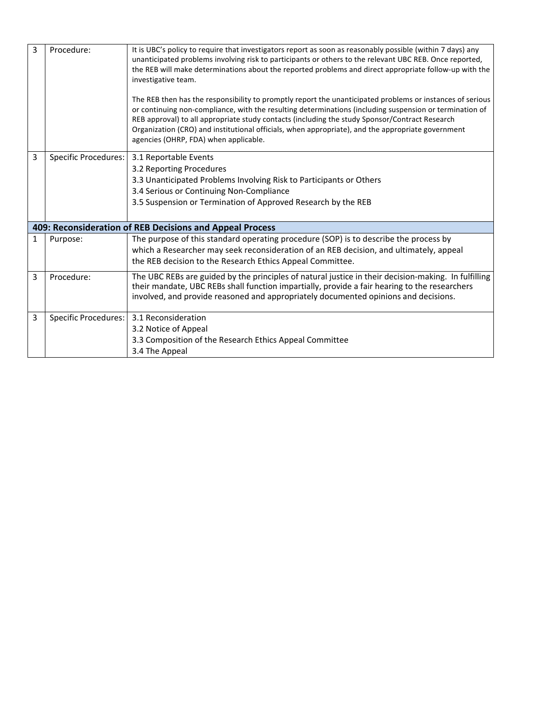| 3 | Procedure:                  | It is UBC's policy to require that investigators report as soon as reasonably possible (within 7 days) any<br>unanticipated problems involving risk to participants or others to the relevant UBC REB. Once reported,<br>the REB will make determinations about the reported problems and direct appropriate follow-up with the<br>investigative team.<br>The REB then has the responsibility to promptly report the unanticipated problems or instances of serious<br>or continuing non-compliance, with the resulting determinations (including suspension or termination of<br>REB approval) to all appropriate study contacts (including the study Sponsor/Contract Research<br>Organization (CRO) and institutional officials, when appropriate), and the appropriate government<br>agencies (OHRP, FDA) when applicable. |
|---|-----------------------------|--------------------------------------------------------------------------------------------------------------------------------------------------------------------------------------------------------------------------------------------------------------------------------------------------------------------------------------------------------------------------------------------------------------------------------------------------------------------------------------------------------------------------------------------------------------------------------------------------------------------------------------------------------------------------------------------------------------------------------------------------------------------------------------------------------------------------------|
| 3 | <b>Specific Procedures:</b> | 3.1 Reportable Events<br>3.2 Reporting Procedures<br>3.3 Unanticipated Problems Involving Risk to Participants or Others<br>3.4 Serious or Continuing Non-Compliance<br>3.5 Suspension or Termination of Approved Research by the REB                                                                                                                                                                                                                                                                                                                                                                                                                                                                                                                                                                                          |
|   |                             | 409: Reconsideration of REB Decisions and Appeal Process                                                                                                                                                                                                                                                                                                                                                                                                                                                                                                                                                                                                                                                                                                                                                                       |
| 1 | Purpose:                    | The purpose of this standard operating procedure (SOP) is to describe the process by<br>which a Researcher may seek reconsideration of an REB decision, and ultimately, appeal<br>the REB decision to the Research Ethics Appeal Committee.                                                                                                                                                                                                                                                                                                                                                                                                                                                                                                                                                                                    |
| 3 | Procedure:                  | The UBC REBs are guided by the principles of natural justice in their decision-making. In fulfilling<br>their mandate, UBC REBs shall function impartially, provide a fair hearing to the researchers<br>involved, and provide reasoned and appropriately documented opinions and decisions.                                                                                                                                                                                                                                                                                                                                                                                                                                                                                                                                   |
| 3 | <b>Specific Procedures:</b> | 3.1 Reconsideration<br>3.2 Notice of Appeal<br>3.3 Composition of the Research Ethics Appeal Committee<br>3.4 The Appeal                                                                                                                                                                                                                                                                                                                                                                                                                                                                                                                                                                                                                                                                                                       |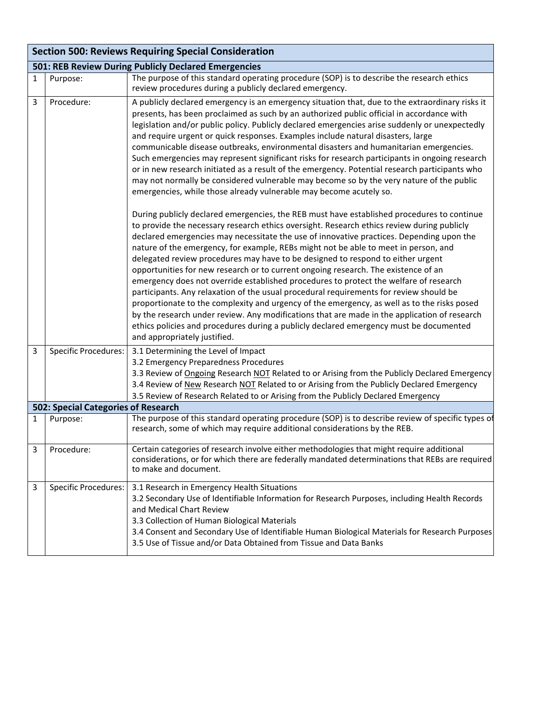|              | <b>Section 500: Reviews Requiring Special Consideration</b> |                                                                                                                                                                                                                                                                                                                                                                                                                                                                                                                                                                                                                                                                                                                                                                                                                                                                                                                                                                                                                                                                  |  |  |
|--------------|-------------------------------------------------------------|------------------------------------------------------------------------------------------------------------------------------------------------------------------------------------------------------------------------------------------------------------------------------------------------------------------------------------------------------------------------------------------------------------------------------------------------------------------------------------------------------------------------------------------------------------------------------------------------------------------------------------------------------------------------------------------------------------------------------------------------------------------------------------------------------------------------------------------------------------------------------------------------------------------------------------------------------------------------------------------------------------------------------------------------------------------|--|--|
|              | 501: REB Review During Publicly Declared Emergencies        |                                                                                                                                                                                                                                                                                                                                                                                                                                                                                                                                                                                                                                                                                                                                                                                                                                                                                                                                                                                                                                                                  |  |  |
| $\mathbf{1}$ | Purpose:                                                    | The purpose of this standard operating procedure (SOP) is to describe the research ethics<br>review procedures during a publicly declared emergency.                                                                                                                                                                                                                                                                                                                                                                                                                                                                                                                                                                                                                                                                                                                                                                                                                                                                                                             |  |  |
| 3            | Procedure:                                                  | A publicly declared emergency is an emergency situation that, due to the extraordinary risks it<br>presents, has been proclaimed as such by an authorized public official in accordance with<br>legislation and/or public policy. Publicly declared emergencies arise suddenly or unexpectedly<br>and require urgent or quick responses. Examples include natural disasters, large<br>communicable disease outbreaks, environmental disasters and humanitarian emergencies.<br>Such emergencies may represent significant risks for research participants in ongoing research<br>or in new research initiated as a result of the emergency. Potential research participants who<br>may not normally be considered vulnerable may become so by the very nature of the public<br>emergencies, while those already vulnerable may become acutely so.                                                                                                                                                                                                                |  |  |
|              |                                                             | During publicly declared emergencies, the REB must have established procedures to continue<br>to provide the necessary research ethics oversight. Research ethics review during publicly<br>declared emergencies may necessitate the use of innovative practices. Depending upon the<br>nature of the emergency, for example, REBs might not be able to meet in person, and<br>delegated review procedures may have to be designed to respond to either urgent<br>opportunities for new research or to current ongoing research. The existence of an<br>emergency does not override established procedures to protect the welfare of research<br>participants. Any relaxation of the usual procedural requirements for review should be<br>proportionate to the complexity and urgency of the emergency, as well as to the risks posed<br>by the research under review. Any modifications that are made in the application of research<br>ethics policies and procedures during a publicly declared emergency must be documented<br>and appropriately justified. |  |  |
| 3            | <b>Specific Procedures:</b>                                 | 3.1 Determining the Level of Impact<br>3.2 Emergency Preparedness Procedures<br>3.3 Review of Ongoing Research NOT Related to or Arising from the Publicly Declared Emergency<br>3.4 Review of New Research NOT Related to or Arising from the Publicly Declared Emergency<br>3.5 Review of Research Related to or Arising from the Publicly Declared Emergency                                                                                                                                                                                                                                                                                                                                                                                                                                                                                                                                                                                                                                                                                                  |  |  |
|              | 502: Special Categories of Research                         |                                                                                                                                                                                                                                                                                                                                                                                                                                                                                                                                                                                                                                                                                                                                                                                                                                                                                                                                                                                                                                                                  |  |  |
| 1            | Purpose:                                                    | The purpose of this standard operating procedure (SOP) is to describe review of specific types of<br>research, some of which may require additional considerations by the REB.                                                                                                                                                                                                                                                                                                                                                                                                                                                                                                                                                                                                                                                                                                                                                                                                                                                                                   |  |  |
| 3            | Procedure:                                                  | Certain categories of research involve either methodologies that might require additional<br>considerations, or for which there are federally mandated determinations that REBs are required<br>to make and document.                                                                                                                                                                                                                                                                                                                                                                                                                                                                                                                                                                                                                                                                                                                                                                                                                                            |  |  |
| $\mathbf{3}$ | <b>Specific Procedures:</b>                                 | 3.1 Research in Emergency Health Situations<br>3.2 Secondary Use of Identifiable Information for Research Purposes, including Health Records<br>and Medical Chart Review<br>3.3 Collection of Human Biological Materials<br>3.4 Consent and Secondary Use of Identifiable Human Biological Materials for Research Purposes<br>3.5 Use of Tissue and/or Data Obtained from Tissue and Data Banks                                                                                                                                                                                                                                                                                                                                                                                                                                                                                                                                                                                                                                                                  |  |  |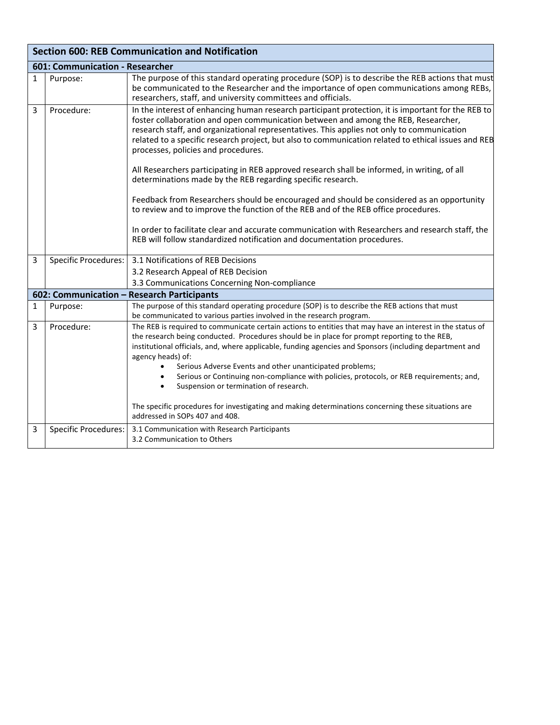| <b>Section 600: REB Communication and Notification</b> |                                 |                                                                                                                                                                                                                                                                                                                                                                                                                                                                                                                                                                                                                                                                                                   |  |
|--------------------------------------------------------|---------------------------------|---------------------------------------------------------------------------------------------------------------------------------------------------------------------------------------------------------------------------------------------------------------------------------------------------------------------------------------------------------------------------------------------------------------------------------------------------------------------------------------------------------------------------------------------------------------------------------------------------------------------------------------------------------------------------------------------------|--|
|                                                        | 601: Communication - Researcher |                                                                                                                                                                                                                                                                                                                                                                                                                                                                                                                                                                                                                                                                                                   |  |
| $\mathbf{1}$                                           | Purpose:                        | The purpose of this standard operating procedure (SOP) is to describe the REB actions that must<br>be communicated to the Researcher and the importance of open communications among REBs,<br>researchers, staff, and university committees and officials.                                                                                                                                                                                                                                                                                                                                                                                                                                        |  |
| 3                                                      | Procedure:                      | In the interest of enhancing human research participant protection, it is important for the REB to<br>foster collaboration and open communication between and among the REB, Researcher,<br>research staff, and organizational representatives. This applies not only to communication<br>related to a specific research project, but also to communication related to ethical issues and REB<br>processes, policies and procedures.<br>All Researchers participating in REB approved research shall be informed, in writing, of all<br>determinations made by the REB regarding specific research.<br>Feedback from Researchers should be encouraged and should be considered as an opportunity  |  |
|                                                        |                                 | to review and to improve the function of the REB and of the REB office procedures.<br>In order to facilitate clear and accurate communication with Researchers and research staff, the<br>REB will follow standardized notification and documentation procedures.                                                                                                                                                                                                                                                                                                                                                                                                                                 |  |
| 3                                                      | Specific Procedures:            | 3.1 Notifications of REB Decisions                                                                                                                                                                                                                                                                                                                                                                                                                                                                                                                                                                                                                                                                |  |
|                                                        |                                 | 3.2 Research Appeal of REB Decision                                                                                                                                                                                                                                                                                                                                                                                                                                                                                                                                                                                                                                                               |  |
|                                                        |                                 | 3.3 Communications Concerning Non-compliance                                                                                                                                                                                                                                                                                                                                                                                                                                                                                                                                                                                                                                                      |  |
|                                                        |                                 | 602: Communication - Research Participants                                                                                                                                                                                                                                                                                                                                                                                                                                                                                                                                                                                                                                                        |  |
| 1                                                      | Purpose:                        | The purpose of this standard operating procedure (SOP) is to describe the REB actions that must<br>be communicated to various parties involved in the research program.                                                                                                                                                                                                                                                                                                                                                                                                                                                                                                                           |  |
| 3                                                      | Procedure:                      | The REB is required to communicate certain actions to entities that may have an interest in the status of<br>the research being conducted. Procedures should be in place for prompt reporting to the REB,<br>institutional officials, and, where applicable, funding agencies and Sponsors (including department and<br>agency heads) of:<br>Serious Adverse Events and other unanticipated problems;<br>Serious or Continuing non-compliance with policies, protocols, or REB requirements; and,<br>Suspension or termination of research.<br>$\bullet$<br>The specific procedures for investigating and making determinations concerning these situations are<br>addressed in SOPs 407 and 408. |  |
| 3                                                      | <b>Specific Procedures:</b>     | 3.1 Communication with Research Participants<br>3.2 Communication to Others                                                                                                                                                                                                                                                                                                                                                                                                                                                                                                                                                                                                                       |  |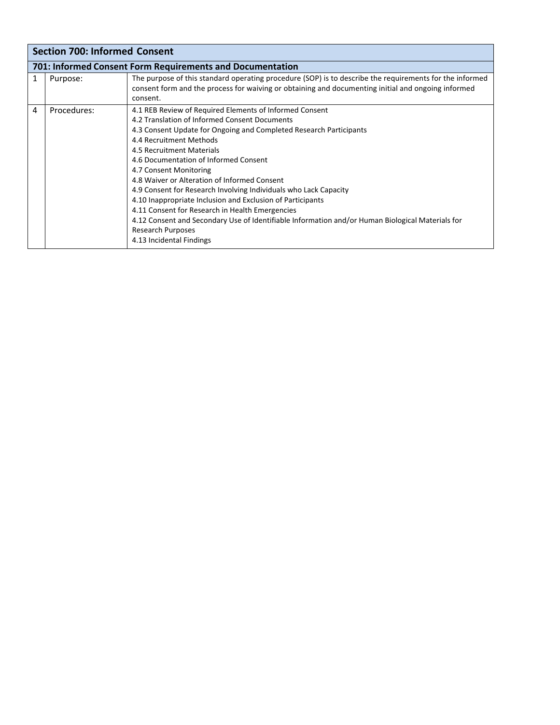|   | <b>Section 700: Informed Consent</b> |                                                                                                                                                                                                                           |  |  |
|---|--------------------------------------|---------------------------------------------------------------------------------------------------------------------------------------------------------------------------------------------------------------------------|--|--|
|   |                                      | 701: Informed Consent Form Requirements and Documentation                                                                                                                                                                 |  |  |
|   | Purpose:                             | The purpose of this standard operating procedure (SOP) is to describe the requirements for the informed<br>consent form and the process for waiving or obtaining and documenting initial and ongoing informed<br>consent. |  |  |
| 4 | Procedures:                          | 4.1 REB Review of Required Elements of Informed Consent                                                                                                                                                                   |  |  |
|   |                                      | 4.2 Translation of Informed Consent Documents                                                                                                                                                                             |  |  |
|   |                                      | 4.3 Consent Update for Ongoing and Completed Research Participants                                                                                                                                                        |  |  |
|   |                                      | 4.4 Recruitment Methods                                                                                                                                                                                                   |  |  |
|   |                                      | 4.5 Recruitment Materials                                                                                                                                                                                                 |  |  |
|   |                                      | 4.6 Documentation of Informed Consent                                                                                                                                                                                     |  |  |
|   |                                      | 4.7 Consent Monitoring                                                                                                                                                                                                    |  |  |
|   |                                      | 4.8 Waiver or Alteration of Informed Consent                                                                                                                                                                              |  |  |
|   |                                      | 4.9 Consent for Research Involving Individuals who Lack Capacity                                                                                                                                                          |  |  |
|   |                                      | 4.10 Inappropriate Inclusion and Exclusion of Participants                                                                                                                                                                |  |  |
|   |                                      | 4.11 Consent for Research in Health Emergencies                                                                                                                                                                           |  |  |
|   |                                      | 4.12 Consent and Secondary Use of Identifiable Information and/or Human Biological Materials for                                                                                                                          |  |  |
|   |                                      | Research Purposes                                                                                                                                                                                                         |  |  |
|   |                                      | 4.13 Incidental Findings                                                                                                                                                                                                  |  |  |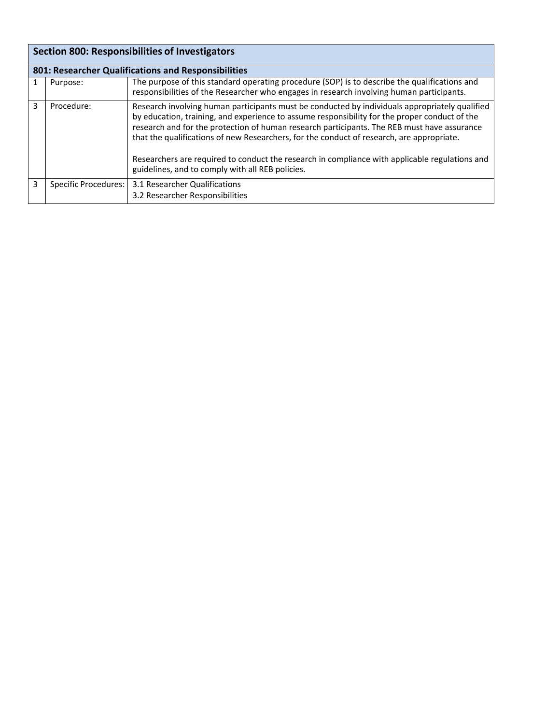| <b>Section 800: Responsibilities of Investigators</b> |                      |                                                                                                                                                                                                                                                                                                                                                                                                                                                                                                                                                   |
|-------------------------------------------------------|----------------------|---------------------------------------------------------------------------------------------------------------------------------------------------------------------------------------------------------------------------------------------------------------------------------------------------------------------------------------------------------------------------------------------------------------------------------------------------------------------------------------------------------------------------------------------------|
|                                                       |                      | 801: Researcher Qualifications and Responsibilities                                                                                                                                                                                                                                                                                                                                                                                                                                                                                               |
|                                                       | Purpose:             | The purpose of this standard operating procedure (SOP) is to describe the qualifications and<br>responsibilities of the Researcher who engages in research involving human participants.                                                                                                                                                                                                                                                                                                                                                          |
| 3                                                     | Procedure:           | Research involving human participants must be conducted by individuals appropriately qualified<br>by education, training, and experience to assume responsibility for the proper conduct of the<br>research and for the protection of human research participants. The REB must have assurance<br>that the qualifications of new Researchers, for the conduct of research, are appropriate.<br>Researchers are required to conduct the research in compliance with applicable regulations and<br>guidelines, and to comply with all REB policies. |
| 3                                                     | Specific Procedures: | 3.1 Researcher Qualifications<br>3.2 Researcher Responsibilities                                                                                                                                                                                                                                                                                                                                                                                                                                                                                  |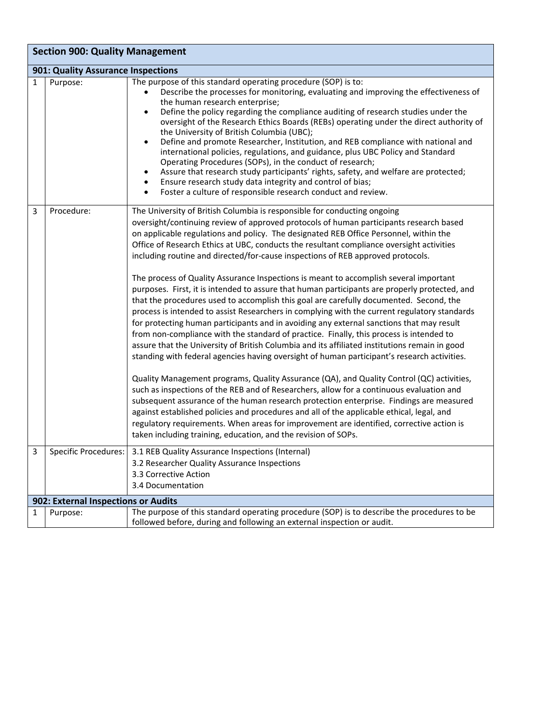|              | <b>Section 900: Quality Management</b> |                                                                                                                                                                                                                                                                                                                                                                                                                                                                                                                                                                                                                                                                                                                                                                                                                                                                                                                                                                                                                                                                                                                                                                                                                                                                                                                                                                                                                                                                                                                                                                                                                                                                                                                                                                      |  |  |
|--------------|----------------------------------------|----------------------------------------------------------------------------------------------------------------------------------------------------------------------------------------------------------------------------------------------------------------------------------------------------------------------------------------------------------------------------------------------------------------------------------------------------------------------------------------------------------------------------------------------------------------------------------------------------------------------------------------------------------------------------------------------------------------------------------------------------------------------------------------------------------------------------------------------------------------------------------------------------------------------------------------------------------------------------------------------------------------------------------------------------------------------------------------------------------------------------------------------------------------------------------------------------------------------------------------------------------------------------------------------------------------------------------------------------------------------------------------------------------------------------------------------------------------------------------------------------------------------------------------------------------------------------------------------------------------------------------------------------------------------------------------------------------------------------------------------------------------------|--|--|
|              | 901: Quality Assurance Inspections     |                                                                                                                                                                                                                                                                                                                                                                                                                                                                                                                                                                                                                                                                                                                                                                                                                                                                                                                                                                                                                                                                                                                                                                                                                                                                                                                                                                                                                                                                                                                                                                                                                                                                                                                                                                      |  |  |
| $\mathbf{1}$ | Purpose:                               | The purpose of this standard operating procedure (SOP) is to:<br>Describe the processes for monitoring, evaluating and improving the effectiveness of<br>the human research enterprise;<br>Define the policy regarding the compliance auditing of research studies under the<br>oversight of the Research Ethics Boards (REBs) operating under the direct authority of<br>the University of British Columbia (UBC);<br>Define and promote Researcher, Institution, and REB compliance with national and<br>international policies, regulations, and guidance, plus UBC Policy and Standard<br>Operating Procedures (SOPs), in the conduct of research;<br>Assure that research study participants' rights, safety, and welfare are protected;<br>Ensure research study data integrity and control of bias;<br>Foster a culture of responsible research conduct and review.                                                                                                                                                                                                                                                                                                                                                                                                                                                                                                                                                                                                                                                                                                                                                                                                                                                                                           |  |  |
| 3            | Procedure:                             | The University of British Columbia is responsible for conducting ongoing<br>oversight/continuing review of approved protocols of human participants research based<br>on applicable regulations and policy. The designated REB Office Personnel, within the<br>Office of Research Ethics at UBC, conducts the resultant compliance oversight activities<br>including routine and directed/for-cause inspections of REB approved protocols.<br>The process of Quality Assurance Inspections is meant to accomplish several important<br>purposes. First, it is intended to assure that human participants are properly protected, and<br>that the procedures used to accomplish this goal are carefully documented. Second, the<br>process is intended to assist Researchers in complying with the current regulatory standards<br>for protecting human participants and in avoiding any external sanctions that may result<br>from non-compliance with the standard of practice. Finally, this process is intended to<br>assure that the University of British Columbia and its affiliated institutions remain in good<br>standing with federal agencies having oversight of human participant's research activities.<br>Quality Management programs, Quality Assurance (QA), and Quality Control (QC) activities,<br>such as inspections of the REB and of Researchers, allow for a continuous evaluation and<br>subsequent assurance of the human research protection enterprise. Findings are measured<br>against established policies and procedures and all of the applicable ethical, legal, and<br>regulatory requirements. When areas for improvement are identified, corrective action is<br>taken including training, education, and the revision of SOPs. |  |  |
| 3            |                                        | Specific Procedures:   3.1 REB Quality Assurance Inspections (Internal)<br>3.2 Researcher Quality Assurance Inspections                                                                                                                                                                                                                                                                                                                                                                                                                                                                                                                                                                                                                                                                                                                                                                                                                                                                                                                                                                                                                                                                                                                                                                                                                                                                                                                                                                                                                                                                                                                                                                                                                                              |  |  |
|              |                                        | 3.3 Corrective Action<br>3.4 Documentation                                                                                                                                                                                                                                                                                                                                                                                                                                                                                                                                                                                                                                                                                                                                                                                                                                                                                                                                                                                                                                                                                                                                                                                                                                                                                                                                                                                                                                                                                                                                                                                                                                                                                                                           |  |  |
|              | 902: External Inspections or Audits    |                                                                                                                                                                                                                                                                                                                                                                                                                                                                                                                                                                                                                                                                                                                                                                                                                                                                                                                                                                                                                                                                                                                                                                                                                                                                                                                                                                                                                                                                                                                                                                                                                                                                                                                                                                      |  |  |
| 1            | Purpose:                               | The purpose of this standard operating procedure (SOP) is to describe the procedures to be<br>followed before, during and following an external inspection or audit.                                                                                                                                                                                                                                                                                                                                                                                                                                                                                                                                                                                                                                                                                                                                                                                                                                                                                                                                                                                                                                                                                                                                                                                                                                                                                                                                                                                                                                                                                                                                                                                                 |  |  |